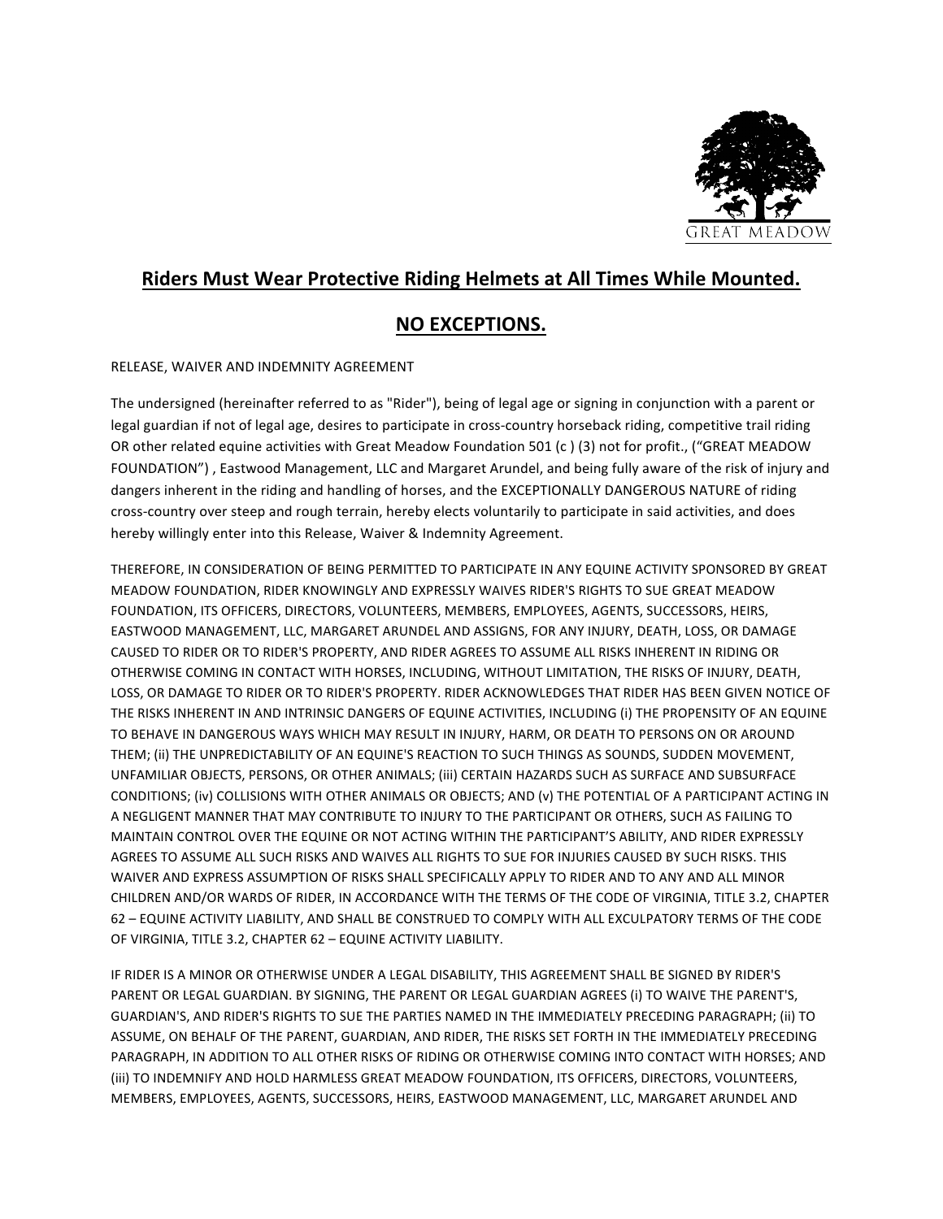

## **Riders Must Wear Protective Riding Helmets at All Times While Mounted.**

## **NO EXCEPTIONS.**

RELEASE, WAIVER AND INDEMNITY AGREEMENT

The undersigned (hereinafter referred to as "Rider"), being of legal age or signing in conjunction with a parent or legal guardian if not of legal age, desires to participate in cross-country horseback riding, competitive trail riding OR other related equine activities with Great Meadow Foundation 501 (c) (3) not for profit., ("GREAT MEADOW FOUNDATION"), Eastwood Management, LLC and Margaret Arundel, and being fully aware of the risk of injury and dangers inherent in the riding and handling of horses, and the EXCEPTIONALLY DANGEROUS NATURE of riding cross-country over steep and rough terrain, hereby elects voluntarily to participate in said activities, and does hereby willingly enter into this Release, Waiver & Indemnity Agreement.

THEREFORE, IN CONSIDERATION OF BEING PERMITTED TO PARTICIPATE IN ANY EQUINE ACTIVITY SPONSORED BY GREAT MEADOW FOUNDATION, RIDER KNOWINGLY AND EXPRESSLY WAIVES RIDER'S RIGHTS TO SUE GREAT MEADOW FOUNDATION, ITS OFFICERS, DIRECTORS, VOLUNTEERS, MEMBERS, EMPLOYEES, AGENTS, SUCCESSORS, HEIRS, EASTWOOD MANAGEMENT, LLC, MARGARET ARUNDEL AND ASSIGNS, FOR ANY INJURY, DEATH, LOSS, OR DAMAGE CAUSED TO RIDER OR TO RIDER'S PROPERTY, AND RIDER AGREES TO ASSUME ALL RISKS INHERENT IN RIDING OR OTHERWISE COMING IN CONTACT WITH HORSES, INCLUDING, WITHOUT LIMITATION, THE RISKS OF INJURY, DEATH, LOSS, OR DAMAGE TO RIDER OR TO RIDER'S PROPERTY. RIDER ACKNOWLEDGES THAT RIDER HAS BEEN GIVEN NOTICE OF THE RISKS INHERENT IN AND INTRINSIC DANGERS OF EQUINE ACTIVITIES, INCLUDING (i) THE PROPENSITY OF AN EQUINE TO BEHAVE IN DANGEROUS WAYS WHICH MAY RESULT IN INJURY, HARM, OR DEATH TO PERSONS ON OR AROUND THEM; (ii) THE UNPREDICTABILITY OF AN EQUINE'S REACTION TO SUCH THINGS AS SOUNDS, SUDDEN MOVEMENT, UNFAMILIAR OBJECTS, PERSONS, OR OTHER ANIMALS; (iii) CERTAIN HAZARDS SUCH AS SURFACE AND SUBSURFACE CONDITIONS; (iv) COLLISIONS WITH OTHER ANIMALS OR OBJECTS; AND (v) THE POTENTIAL OF A PARTICIPANT ACTING IN A NEGLIGENT MANNER THAT MAY CONTRIBUTE TO INJURY TO THE PARTICIPANT OR OTHERS, SUCH AS FAILING TO MAINTAIN CONTROL OVER THE EQUINE OR NOT ACTING WITHIN THE PARTICIPANT'S ABILITY, AND RIDER EXPRESSLY AGREES TO ASSUME ALL SUCH RISKS AND WAIVES ALL RIGHTS TO SUE FOR INJURIES CAUSED BY SUCH RISKS. THIS WAIVER AND EXPRESS ASSUMPTION OF RISKS SHALL SPECIFICALLY APPLY TO RIDER AND TO ANY AND ALL MINOR CHILDREN AND/OR WARDS OF RIDER, IN ACCORDANCE WITH THE TERMS OF THE CODE OF VIRGINIA, TITLE 3.2, CHAPTER 62 - EQUINE ACTIVITY LIABILITY, AND SHALL BE CONSTRUED TO COMPLY WITH ALL EXCULPATORY TERMS OF THE CODE OF VIRGINIA, TITLE 3.2, CHAPTER 62 - EQUINE ACTIVITY LIABILITY.

IF RIDER IS A MINOR OR OTHERWISE UNDER A LEGAL DISABILITY, THIS AGREEMENT SHALL BE SIGNED BY RIDER'S PARENT OR LEGAL GUARDIAN. BY SIGNING, THE PARENT OR LEGAL GUARDIAN AGREES (i) TO WAIVE THE PARENT'S, GUARDIAN'S, AND RIDER'S RIGHTS TO SUE THE PARTIES NAMED IN THE IMMEDIATELY PRECEDING PARAGRAPH; (ii) TO ASSUME, ON BEHALF OF THE PARENT, GUARDIAN, AND RIDER, THE RISKS SET FORTH IN THE IMMEDIATELY PRECEDING PARAGRAPH, IN ADDITION TO ALL OTHER RISKS OF RIDING OR OTHERWISE COMING INTO CONTACT WITH HORSES; AND (iii) TO INDEMNIFY AND HOLD HARMLESS GREAT MEADOW FOUNDATION, ITS OFFICERS, DIRECTORS, VOLUNTEERS, MEMBERS, EMPLOYEES, AGENTS, SUCCESSORS, HEIRS, EASTWOOD MANAGEMENT, LLC, MARGARET ARUNDEL AND